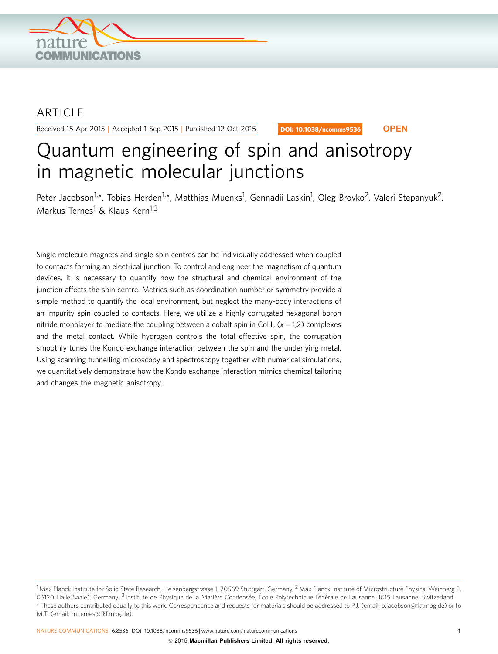

## **ARTICLE**

Received 15 Apr 2015 | Accepted 1 Sep 2015 | Published 12 Oct 2015

DOI: 10.1038/ncomms9536 **OPEN**

# Quantum engineering of spin and anisotropy in magnetic molecular junctions

Peter Jacobson<sup>1,</sup>\*, Tobias Herden<sup>1,</sup>\*, Matthias Muenks<sup>1</sup>, Gennadii Laskin<sup>1</sup>, Oleg Brovko<sup>2</sup>, Valeri Stepanyuk<sup>2</sup>, Markus Ternes<sup>1</sup> & Klaus Kern<sup>1,3</sup>

Single molecule magnets and single spin centres can be individually addressed when coupled to contacts forming an electrical junction. To control and engineer the magnetism of quantum devices, it is necessary to quantify how the structural and chemical environment of the junction affects the spin centre. Metrics such as coordination number or symmetry provide a simple method to quantify the local environment, but neglect the many-body interactions of an impurity spin coupled to contacts. Here, we utilize a highly corrugated hexagonal boron nitride monolayer to mediate the coupling between a cobalt spin in  $Coh<sub>x</sub>$  ( $x = 1,2$ ) complexes and the metal contact. While hydrogen controls the total effective spin, the corrugation smoothly tunes the Kondo exchange interaction between the spin and the underlying metal. Using scanning tunnelling microscopy and spectroscopy together with numerical simulations, we quantitatively demonstrate how the Kondo exchange interaction mimics chemical tailoring and changes the magnetic anisotropy.

 $^1$ Max Planck Institute for Solid State Research, Heisenbergstrasse 1, 70569 Stuttgart, Germany.  $^2$ Max Planck Institute of Microstructure Physics, Weinberg 2, 06120 Halle(Saale), Germany. <sup>3</sup> Institute de Physique de la Matière Condensée, École Polytechnique Fédérale de Lausanne, 1015 Lausanne, Switzerland. \* These authors contributed equally to this work. Correspondence and requests for materials should be addressed to P.J. (email: [p.jacobson@fkf.mpg.de](mailto:p.jacobson@fkf.mpg.de)) or to M.T. (email: [m.ternes@fkf.mpg.de](mailto:m.ternes@fkf.mpg.de)).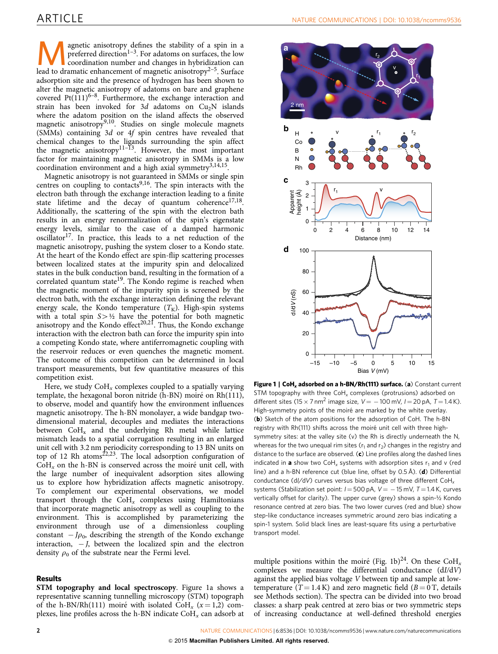<span id="page-1-0"></span>**Example 12** agnetic anisotropy defines the stability of a spin in a preferred direction<sup>1–3</sup>. For adatoms on surfaces, the low coordination number and changes in hybridization can lead to dramatic enhancement of magnetic preferred direction<sup>[1–3](#page-4-0)</sup>. For adatoms on surfaces, the low lead to dramatic enhancement of magnetic anisotropy<sup>[2–5](#page-4-0)</sup>. Surface adsorption site and the presence of hydrogen has been shown to alter the magnetic anisotropy of adatoms on bare and graphene covered  $Pt(111)^{6-8}$ . Furthermore, the exchange interaction and strain has been invoked for  $3d$  adatoms on  $Cu<sub>2</sub>N$  islands where the adatom position on the island affects the observed magnetic anisotropy<sup>9,10</sup>. Studies on single molecule magnets (SMMs) containing 3d or 4f spin centres have revealed that chemical changes to the ligands surrounding the spin affect the magnetic anisotropy $11-13$ . However, the most important factor for maintaining magnetic anisotropy in SMMs is a low coordination environment and a high axial symmetry<sup>3,14,15</sup>.

Magnetic anisotropy is not guaranteed in SMMs or single spin centres on coupling to contacts<sup>[9,16](#page-4-0)</sup>. The spin interacts with the electron bath through the exchange interaction leading to a finite state lifetime and the decay of quantum coherence $17,18$ . Additionally, the scattering of the spin with the electron bath results in an energy renormalization of the spin's eigenstate energy levels, similar to the case of a damped harmonic  $oscillator<sup>17</sup>$ . In practice, this leads to a net reduction of the magnetic anisotropy, pushing the system closer to a Kondo state. At the heart of the Kondo effect are spin-flip scattering processes between localized states at the impurity spin and delocalized states in the bulk conduction band, resulting in the formation of a correlated quantum state<sup>[19](#page-4-0)</sup>. The Kondo regime is reached when the magnetic moment of the impurity spin is screened by the electron bath, with the exchange interaction defining the relevant energy scale, the Kondo temperature  $(T_K)$ . High-spin systems with a total spin  $S > \frac{1}{2}$  have the potential for both magnetic anisotropy and the Kondo effect<sup>20,21</sup>. Thus, the Kondo exchange interaction with the electron bath can force the impurity spin into a competing Kondo state, where antiferromagnetic coupling with the reservoir reduces or even quenches the magnetic moment. The outcome of this competition can be determined in local transport measurements, but few quantitative measures of this competition exist.

Here, we study  $\text{CoH}_x$  complexes coupled to a spatially varying template, the hexagonal boron nitride (h-BN) moiré on Rh(111), to observe, model and quantify how the environment influences magnetic anisotropy. The h-BN monolayer, a wide bandgap twodimensional material, decouples and mediates the interactions between  $CoH<sub>x</sub>$  and the underlying Rh metal while lattice mismatch leads to a spatial corrugation resulting in an enlarged unit cell with 3.2 nm periodicity corresponding to 13 BN units on top of 12 Rh atoms $^{22,23}$ . The local adsorption configuration of  $CoH<sub>x</sub>$  on the h-BN is conserved across the moiré unit cell, with the large number of inequivalent adsorption sites allowing us to explore how hybridization affects magnetic anisotropy. To complement our experimental observations, we model transport through the  $CoH_x$  complexes using Hamiltonians that incorporate magnetic anisotropy as well as coupling to the environment. This is accomplished by parameterizing the environment through use of a dimensionless coupling constant  $-J\rho_0$ , describing the strength of the Kondo exchange interaction, - J, between the localized spin and the electron density  $\rho_0$  of the substrate near the Fermi level.

### Results

STM topography and local spectroscopy. Figure 1a shows a representative scanning tunnelling microscopy (STM) topograph of the h-BN/Rh(111) moiré with isolated CoH<sub>x</sub> ( $x = 1,2$ ) complexes, line profiles across the h-BN indicate  $\text{CoH}_x$  can adsorb at



Figure 1 | CoH<sub>x</sub> adsorbed on a h-BN/Rh(111) surface. (a) Constant current STM topography with three  $\text{CoH}_x$  complexes (protrusions) adsorbed on different sites (15  $\times$  7 nm<sup>2</sup> image size, V = -100 mV, I = 20 pA, T = 1.4 K). High-symmetry points of the moiré are marked by the white overlay. (b) Sketch of the atom positions for the adsorption of CoH. The h-BN registry with Rh(111) shifts across the moiré unit cell with three highsymmetry sites: at the valley site (v) the Rh is directly underneath the N, whereas for the two unequal rim sites ( $r_1$  and  $r_2$ ) changes in the registry and distance to the surface are observed.  $(c)$  Line profiles along the dashed lines indicated in **a** show two CoH<sub>x</sub> systems with adsorption sites  $r_1$  and v (red line) and a h-BN reference cut (blue line, offset by 0.5 Å). (d) Differential conductance (dl/dV) curves versus bias voltage of three different  $\text{CoH}_x$ systems (Stabilization set point:  $I = 500 \text{ pA}$ ,  $V = -15 \text{ mV}$ ,  $T = 1.4 \text{ K}$ , curves vertically offset for clarity). The upper curve (grey) shows a spin-½ Kondo resonance centred at zero bias. The two lower curves (red and blue) show step-like conductance increases symmetric around zero bias indicating a spin-1 system. Solid black lines are least-square fits using a perturbative transport model.

multiple positions within the moiré (Fig. 1b)<sup>[24](#page-4-0)</sup>. On these CoH<sub>x</sub> complexes we measure the differential conductance (dI/dV) against the applied bias voltage V between tip and sample at lowtemperature ( $T = 1.4$  K) and zero magnetic field ( $B = 0$  T, details see Methods section). The spectra can be divided into two broad classes: a sharp peak centred at zero bias or two symmetric steps of increasing conductance at well-defined threshold energies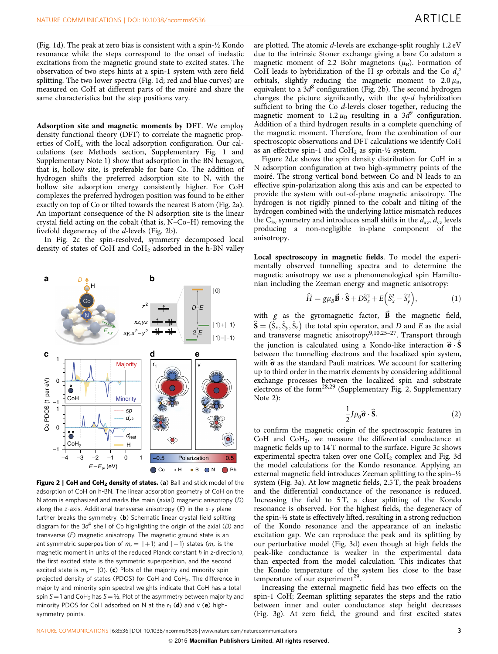([Fig. 1d\)](#page-1-0). The peak at zero bias is consistent with a spin-½ Kondo resonance while the steps correspond to the onset of inelastic excitations from the magnetic ground state to excited states. The observation of two steps hints at a spin-1 system with zero field splitting. The two lower spectra [\(Fig. 1d](#page-1-0); red and blue curves) are measured on CoH at different parts of the moiré and share the same characteristics but the step positions vary.

Adsorption site and magnetic moments by DFT. We employ density functional theory (DFT) to correlate the magnetic properties of  $CoH<sub>x</sub>$  with the local adsorption configuration. Our calculations (see Methods section, Supplementary Fig. 1 and Supplementary Note 1) show that adsorption in the BN hexagon, that is, hollow site, is preferable for bare Co. The addition of hydrogen shifts the preferred adsorption site to N, with the hollow site adsorption energy consistently higher. For CoH complexes the preferred hydrogen position was found to be either exactly on top of Co or tilted towards the nearest B atom (Fig. 2a). An important consequence of the N adsorption site is the linear crystal field acting on the cobalt (that is, N–Co–H) removing the fivefold degeneracy of the d-levels (Fig. 2b).

In Fig. 2c the spin-resolved, symmetry decomposed local density of states of CoH and CoH<sub>2</sub> adsorbed in the h-BN valley



Figure 2 | CoH and CoH<sub>2</sub> density of states. (a) Ball and stick model of the adsorption of CoH on h-BN. The linear adsorption geometry of CoH on the N atom is emphasized and marks the main (axial) magnetic anisotropy (D) along the  $z$ -axis. Additional transverse anisotropy  $(E)$  in the  $x$ -y plane further breaks the symmetry. (b) Schematic linear crystal field splitting diagram for the  $3d^8$  shell of Co highlighting the origin of the axial (D) and transverse (E) magnetic anisotropy. The magnetic ground state is an antisymmetric superposition of  $m_{z}= \vert +1 \rangle$  and  $\vert -1 \rangle$  states ( $m_{z}$  is the magnetic moment in units of the reduced Planck constant  $\hbar$  in z-direction), the first excited state is the symmetric superposition, and the second excited state is  $m_z = |0\rangle$ . (c) Plots of the majority and minority spin projected density of states (PDOS) for CoH and CoH<sub>2</sub>. The difference in majority and minority spin spectral weights indicate that CoH has a total spin  $S = 1$  and CoH<sub>2</sub> has  $S = 1/2$ . Plot of the asymmetry between majority and minority PDOS for CoH adsorbed on N at the  $r_1$  (d) and v (e) highsymmetry points.

are plotted. The atomic  $d$ -levels are exchange-split roughly  $1.2 \text{ eV}$ due to the intrinsic Stoner exchange giving a bare Co adatom a magnetic moment of 2.2 Bohr magnetons  $(\mu_B)$ . Formation of CoH leads to hybridization of the H sp orbitals and the Co  $d_z^2$ orbitals, slightly reducing the magnetic moment to  $2.0 \mu_B$ , equivalent to a  $3d^8$  configuration (Fig. 2b). The second hydrogen changes the picture significantly, with the sp-d hybridization sufficient to bring the Co d-levels closer together, reducing the magnetic moment to 1.2  $\mu_B$  resulting in a 3d<sup>9</sup> configuration. Addition of a third hydrogen results in a complete quenching of the magnetic moment. Therefore, from the combination of our spectroscopic observations and DFT calculations we identify CoH as an effective spin-1 and  $CoH<sub>2</sub>$  as spin- $\frac{1}{2}$  system.

Figure 2d,e shows the spin density distribution for CoH in a N adsorption configuration at two high-symmetry points of the moiré. The strong vertical bond between Co and N leads to an effective spin-polarization along this axis and can be expected to provide the system with out-of-plane magnetic anisotropy. The hydrogen is not rigidly pinned to the cobalt and tilting of the hydrogen combined with the underlying lattice mismatch reduces the  $C_{3v}$  symmetry and introduces small shifts in the  $d_{xz}$ ,  $d_{yz}$  levels producing a non-negligible in-plane component of the anisotropy.

Local spectroscopy in magnetic fields. To model the experimentally observed tunnelling spectra and to determine the magnetic anisotropy we use a phenomenological spin Hamiltonian including the Zeeman energy and magnetic anisotropy:

$$
\widehat{H} = g\mu_B \vec{\mathbf{B}} \cdot \hat{\mathbf{S}} + D\hat{S}_z^2 + E\left(\hat{S}_x^2 - \hat{S}_y^2\right),\tag{1}
$$

with  $g$  as the gyromagnetic factor,  $\vec{B}$  the magnetic field,  $\hat{\mathbf{S}} = (\hat{\mathbf{S}}_x, \hat{\mathbf{S}}_y, \hat{\mathbf{S}}_z)$  the total spin operator, and D and E as the axial and transverse magnetic anisotropy<sup>9,10,25-27</sup>. Transport through the junction is calculated using a Kondo-like interaction  $\hat{\sigma} \cdot \hat{S}$ between the tunnelling electrons and the localized spin system, with  $\hat{\sigma}$  as the standard Pauli matrices. We account for scattering up to third order in the matrix elements by considering additional exchange processes between the localized spin and substrate electrons of the form[28,29](#page-4-0) (Supplementary Fig. 2, Supplementary Note 2):

$$
\frac{1}{2}J\rho_0\widehat{\boldsymbol{\sigma}}\cdot\widehat{\mathbf{S}}.\tag{2}
$$

to confirm the magnetic origin of the spectroscopic features in CoH and CoH2, we measure the differential conductance at magnetic fields up to 14 T normal to the surface. [Figure 3c](#page-3-0) shows experimental spectra taken over one  $CoH<sub>2</sub>$  complex and [Fig. 3d](#page-3-0) the model calculations for the Kondo resonance. Applying an external magnetic field introduces Zeeman splitting to the spin–½ system [\(Fig. 3a\)](#page-3-0). At low magnetic fields, 2.5 T, the peak broadens and the differential conductance of the resonance is reduced. Increasing the field to 5 T, a clear splitting of the Kondo resonance is observed. For the highest fields, the degeneracy of the spin-½ state is effectively lifted, resulting in a strong reduction of the Kondo resonance and the appearance of an inelastic excitation gap. We can reproduce the peak and its splitting by our perturbative model [\(Fig. 3d](#page-3-0)) even though at high fields the peak-like conductance is weaker in the experimental data than expected from the model calculation. This indicates that the Kondo temperature of the system lies close to the base temperature of our experiment<sup>29</sup>.

Increasing the external magnetic field has two effects on the spin-1 CoH; Zeeman splitting separates the steps and the ratio between inner and outer conductance step height decreases ([Fig. 3g](#page-3-0)). At zero field, the ground and first excited states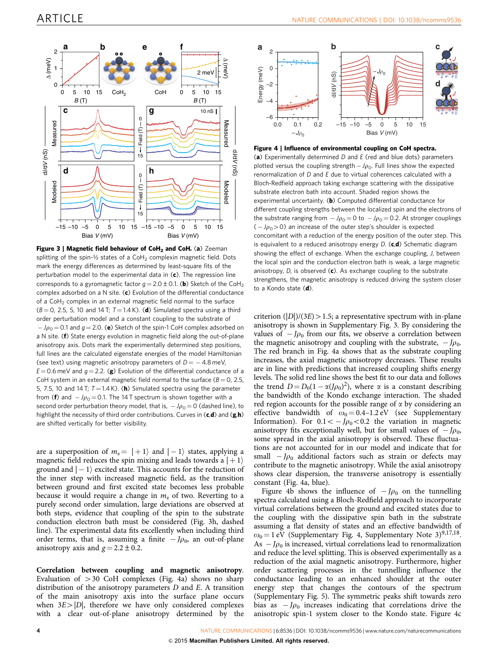<span id="page-3-0"></span>

Figure 3 | Magnetic field behaviour of CoH<sub>2</sub> and CoH. (a) Zeeman splitting of the spin- $\frac{1}{2}$  states of a CoH<sub>2</sub> complexin magnetic field. Dots mark the energy differences as determined by least-square fits of the perturbation model to the experimental data in  $(c)$ . The regression line corresponds to a gyromagnetic factor  $q = 2.0 \pm 0.1$ . (b) Sketch of the CoH<sub>2</sub> complex adsorbed on a N site.  $(c)$  Evolution of the differential conductance of a  $C_0H_2$  complex in an external magnetic field normal to the surface  $(B = 0, 2.5, 5, 10$  and 14 T;  $T = 1.4$  K). (d) Simulated spectra using a third order perturbation model and a constant coupling to the substrate of  $-J\rho_0$  = 0.1 and  $g$  = 2.0. (e) Sketch of the spin-1 CoH complex adsorbed on a N site. (f) State energy evolution in magnetic field along the out-of-plane anisotropy axis. Dots mark the experimentally determined step positions, full lines are the calculated eigenstate energies of the model Hamiltonian (see text) using magnetic anisotropy parameters of  $D = -4.8$  meV,  $E = 0.6$  meV and  $q = 2.2$ . (g) Evolution of the differential conductance of a CoH system in an external magnetic field normal to the surface ( $B = 0$ , 2.5, 5, 7.5, 10 and 14 T;  $T = 1.4$  K). (**h**) Simulated spectra using the parameter from (**f**) and  $-J\rho_0\!=\!0.1$ . The 14 T spectrum is shown together with a second order perturbation theory model, that is,  $\,$  –  $\,\rho_0^{}$   $\!=$  0 (dashed line), to highlight the necessity of third order contributions. Curves in  $(c,d)$  and  $(g,h)$ are shifted vertically for better visibility.

are a superposition of  $m_z= \hspace{.05cm} |+1\rangle$  and  $| -1\rangle$  states, applying a magnetic field reduces the spin mixing and leads towards a  $|+1\rangle$ ground and  $\vert -1 \rangle$  excited state. This accounts for the reduction of the inner step with increased magnetic field, as the transition between ground and first excited state becomes less probable because it would require a change in  $m<sub>z</sub>$  of two. Reverting to a purely second order simulation, large deviations are observed at both steps, evidence that coupling of the spin to the substrate conduction electron bath must be considered (Fig. 3h, dashed line). The experimental data fits excellently when including third order terms, that is, assuming a finite  $-J\rho_0$ , an out-of-plane anisotropy axis and  $g = 2.2 \pm 0.2$ .

Correlation between coupling and magnetic anisotropy. Evaluation of  $>30$  CoH complexes (Fig. 4a) shows no sharp distribution of the anisotropy parameters  $D$  and  $E$ . A transition of the main anisotropy axis into the surface plane occurs when  $3E>|D|$ , therefore we have only considered complexes with a clear out-of-plane anisotropy determined by the





(a) Experimentally determined  $D$  and  $E$  (red and blue dots) parameters plotted versus the coupling strength  $-J\rho_0$ . Full lines show the expected renormalization of D and E due to virtual coherences calculated with a Bloch-Redfield approach taking exchange scattering with the dissipative substrate electron bath into account. Shaded region shows the experimental uncertainty. (b) Computed differential conductance for different coupling strengths between the localized spin and the electrons of the substrate ranging from  $-J\rho_0 = 0$  to  $-J\rho_0 = 0.2$ . At stronger couplings  $(-J\rho_0>0)$  an increase of the outer step's shoulder is expected concomitant with a reduction of the energy position of the outer step. This is equivalent to a reduced anisotropy energy  $D$ . (c,d) Schematic diagram showing the effect of exchange. When the exchange coupling, J, between the local spin and the conduction electron bath is weak, a large magnetic anisotropy,  $D$ , is observed  $(c)$ . As exchange coupling to the substrate strengthens, the magnetic anisotropy is reduced driving the system closer to a Kondo state (d).

criterion  $(|D|)/(3E) > 1.5$ ; a representative spectrum with in-plane anisotropy is shown in Supplementary Fig. 3. By considering the values of  $-J\rho_0$  from our fits, we observe a correlation between the magnetic anisotropy and coupling with the substrate,  $-J\rho_0$ . The red branch in Fig. 4a shows that as the substrate coupling increases, the axial magnetic anisotropy decreases. These results are in line with predictions that increased coupling shifts energy levels. The solid red line shows the best fit to our data and follows the trend  $D = D_0(1 - \alpha (J \rho_0)^2)$ , where  $\alpha$  is a constant describing the bandwidth of the Kondo exchange interaction. The shaded red region accounts for the possible range of  $\alpha$  by considering an effective bandwidth of  $\omega_0 = 0.4$ –1.2 eV (see Supplementary Information). For  $0.1 < -J\rho_0 < 0.2$  the variation in magnetic anisotropy fits exceptionally well, but for small values of  $-J\rho_0$ , some spread in the axial anisotropy is observed. These fluctuations are not accounted for in our model and indicate that for small  $-I\rho_0$  additional factors such as strain or defects may contribute to the magnetic anisotropy. While the axial anisotropy shows clear dispersion, the transverse anisotropy is essentially constant (Fig. 4a, blue).

Figure 4b shows the influence of  $-J\rho_0$  on the tunnelling spectra calculated using a Bloch-Redfield approach to incorporate virtual correlations between the ground and excited states due to the coupling with the dissipative spin bath in the substrate assuming a flat density of states and an effective bandwidth of  $\omega_0 = 1 \text{ eV}$  (Supplementary Fig. 4, Supplementary Note 3)<sup>9,17,18</sup>. As  $-J\rho_0$  is increased, virtual correlations lead to renormalization and reduce the level splitting. This is observed experimentally as a reduction of the axial magnetic anisotropy. Furthermore, higher order scattering processes in the tunnelling influence the conductance leading to an enhanced shoulder at the outer energy step that changes the contours of the spectrum (Supplementary Fig. 5). The symmetric peaks shift towards zero bias as  $-J\rho_0$  increases indicating that correlations drive the anisotropic spin-1 system closer to the Kondo state. Figure 4c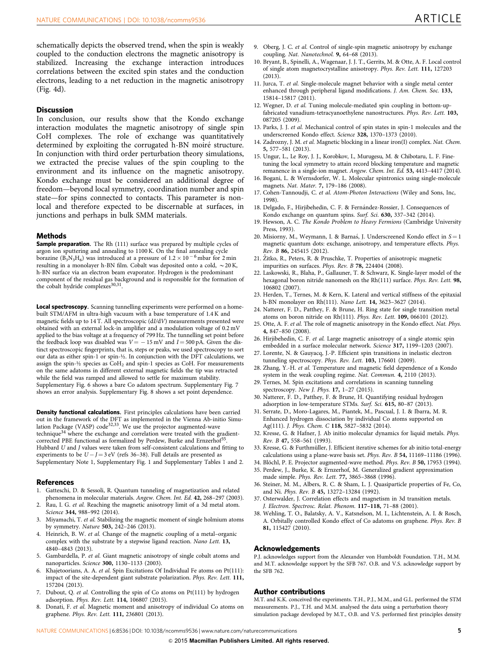<span id="page-4-0"></span>schematically depicts the observed trend, when the spin is weakly coupled to the conduction electrons the magnetic anisotropy is stabilized. Increasing the exchange interaction introduces correlations between the excited spin states and the conduction electrons, leading to a net reduction in the magnetic anisotropy ([Fig. 4d](#page-3-0)).

#### **Discussion**

In conclusion, our results show that the Kondo exchange interaction modulates the magnetic anisotropy of single spin CoH complexes. The role of exchange was quantitatively determined by exploiting the corrugated h-BN moiré structure. In conjunction with third order perturbation theory simulations, we extracted the precise values of the spin coupling to the environment and its influence on the magnetic anisotropy. Kondo exchange must be considered an additional degree of freedom—beyond local symmetry, coordination number and spin state—for spins connected to contacts. This parameter is nonlocal and therefore expected to be discernable at surfaces, in junctions and perhaps in bulk SMM materials.

#### **Methods**

**Sample preparation.** The Rh (111) surface was prepared by multiple cycles of argon ion sputtering and annealing to 1100 K. On the final annealing cycle borazine  $(B_3N_3H_6)$  was introduced at a pressure of  $1.2 \times 10^{-6}$  mbar for 2 min resulting in a monolayer h-BN film. Cobalt was deposited onto a cold,  $\sim$  20 K, h-BN surface via an electron beam evaporator. Hydrogen is the predominant component of the residual gas background and is responsible for the formation of the cobalt hydride complexes<sup>30,31</sup>.

Local spectroscopy. Scanning tunnelling experiments were performed on a homebuilt STM/AFM in ultra-high vacuum with a base temperature of 1.4 K and magnetic fields up to 14 T. All spectroscopic (dI/dV) measurements presented were obtained with an external lock-in amplifier and a modulation voltage of 0.2 mV applied to the bias voltage at a frequency of 799 Hz. The tunnelling set point before the feedback loop was disabled was  $V = -15 \,\mathrm{mV}$  and  $I = 500 \,\mathrm{pA}$ . Given the distinct spectroscopic fingerprints, that is, steps or peaks, we used spectroscopy to sort our data as either spin-1 or spin-½. In conjunction with the DFT calculations, we assign the spin- $\frac{1}{2}$  species as CoH<sub>2</sub> and spin-1 species as CoH. For measurements on the same adatoms in different external magnetic fields the tip was retracted while the field was ramped and allowed to settle for maximum stability. Supplementary Fig. 6 shows a bare Co adatom spectrum. Supplementary Fig. 7 shows an error analysis. Supplementary Fig. 8 shows a set point dependence.

Density functional calculations. First principles calculations have been carried out in the framework of the DFT as implemented in the Vienna Ab-initio Simu-<br>lation Package (VASP) code<sup>32,33</sup>. We use the projector augmented-wave technique<sup>34</sup> where the exchange and correlation were treated with the gradientcorrected PBE functional as formalized by Perdew, Burke and Ernzerhof<sup>3</sup> Hubbard U and J values were taken from self-consistent calculations and fitting to experiments to be  $U\!-\!J\!=\!3\,{\rm eV}$  (refs 36–38). Full details are presented as Supplementary Note 1, Supplementary Fig. 1 and Supplementary Tables 1 and 2.

#### References

- 1. Gatteschi, D. & Sessoli, R. Quantum tunneling of magnetization and related phenomena in molecular materials. Angew. Chem. Int. Ed. 42, 268-297 (2003).
- 2. Rau, I. G. et al. Reaching the magnetic anisotropy limit of a 3d metal atom. Science 344, 988–992 (2014).
- 3. Miyamachi, T. et al. Stabilizing the magnetic moment of single holmium atoms by symmetry. Nature 503, 242–246 (2013).
- 4. Heinrich, B. W. et al. Change of the magnetic coupling of a metal–organic complex with the substrate by a stepwise ligand reaction. Nano Lett. 13, 4840–4843 (2013).
- 5. Gambardella, P. et al. Giant magnetic anisotropy of single cobalt atoms and nanoparticles. Science 300, 1130–1133 (2003).
- Khajetoorians, A. A. et al. Spin Excitations Of Individual Fe atoms on Pt(111): impact of the site-dependent giant substrate polarization. Phys. Rev. Lett. 111, 157204 (2013).
- Dubout, Q. et al. Controlling the spin of Co atoms on Pt(111) by hydrogen adsorption. Phys. Rev. Lett. 114, 106807 (2015).
- 8. Donati, F. et al. Magnetic moment and anisotropy of individual Co atoms on graphene. Phys. Rev. Lett. 111, 236801 (2013).
- 9. Oberg, J. C. et al. Control of single-spin magnetic anisotropy by exchange coupling. Nat. Nanotechnol. 9, 64–68 (2013).
- 10. Bryant, B., Spinelli, A., Wagenaar, J. J. T., Gerrits, M. & Otte, A. F. Local control of single atom magnetocrystalline anisotropy. Phys. Rev. Lett. 111, 127203 (2013).
- 11. Jurca, T. et al. Single-molecule magnet behavior with a single metal center enhanced through peripheral ligand modifications. J. Am. Chem. Soc. 133, 15814–15817 (2011).
- 12. Wegner, D. et al. Tuning molecule-mediated spin coupling in bottom-upfabricated vanadium-tetracyanoethylene nanostructures. Phys. Rev. Lett. 103, 087205 (2009).
- 13. Parks, J. J. et al. Mechanical control of spin states in spin-1 molecules and the underscreened Kondo effect. Science 328, 1370–1373 (2010).
- 14. Zadrozny, J. M. et al. Magnetic blocking in a linear iron(I) complex. Nat. Chem. 5, 577–581 (2013).
- 15. Ungur, L., Le Roy, J. J., Korobkov, I., Murugesu, M. & Chibotaru, L. F. Finetuning the local symmetry to attain record blocking temperature and magnetic remanence in a single-ion magnet. Angew. Chem. Int. Ed. 53, 4413-4417 (2014).
- 16. Bogani, L. & Wernsdorfer, W. L. Molecular spintronics using single-molecule magnets. Nat. Mater. 7, 179–186 (2008).
- 17. Cohen-Tannoudji, C. et al. Atom-Photon Interactions (Wiley and Sons, Inc, 1998).
- 18. Delgado, F., Hirjibehedin, C. F. & Fernández-Rossier, J. Consequences of Kondo exchange on quantum spins. Surf. Sci. 630, 337-342 (2014).
- 19. Hewson, A. C. The Kondo Problem to Heavy Fermions (Cambridge University Press, 1993).
- 20. Misiorny, M., Weymann, I. & Barnaś, J. Underscreened Kondo effect in  $S = 1$ magnetic quantum dots: exchange, anisotropy, and temperature effects. Phys. Rev. B 86, 245415 (2012).
- 21. Žitko, R., Peters, R. & Pruschke, T. Properties of anisotropic magnetic impurities on surfaces. Phys. Rev. B 78, 224404 (2008).
- 22. Laskowski, R., Blaha, P., Gallauner, T. & Schwarz, K. Single-layer model of the hexagonal boron nitride nanomesh on the Rh(111) surface. Phys. Rev. Lett. 98, 106802 (2007).
- 23. Herden, T., Ternes, M. & Kern, K. Lateral and vertical stiffness of the epitaxial h-BN monolayer on Rh(111). Nano Lett. 14, 3623–3627 (2014).
- 24. Natterer, F. D., Patthey, F. & Brune, H. Ring state for single transition metal atoms on boron nitride on Rh(111). Phys. Rev. Lett. 109, 066101 (2012).
- 25. Otte, A. F. et al. The role of magnetic anisotropy in the Kondo effect. Nat. Phys. 4, 847–850 (2008).
- 26. Hirjibehedin, C. F. et al. Large magnetic anisotropy of a single atomic spin embedded in a surface molecular network. Science 317, 1199–1203 (2007).
- 27. Lorente, N. & Gauyacq, J.-P. Efficient spin transitions in inelastic electron tunneling spectroscopy. Phys. Rev. Lett. 103, 176601 (2009).
- 28. Zhang, Y.-H. et al. Temperature and magnetic field dependence of a Kondo system in the weak coupling regime. Nat. Commun. 4, 2110 (2013).
- 29. Ternes, M. Spin excitations and correlations in scanning tunneling spectroscopy. New J. Phys. 17, 1–27 (2015).
- 30. Natterer, F. D., Patthey, F. & Brune, H. Quantifying residual hydrogen adsorption in low-temperature STMs. Surf. Sci. 615, 80–87 (2013).
- 31. Serrate, D., Moro-Lagares, M., Piantek, M., Pascual, J. I. & Ibarra, M. R. Enhanced hydrogen dissociation by individual Co atoms supported on Ag(111). J. Phys. Chem. C 118, 5827–5832 (2014).
- 32. Kresse, G. & Hafner, J. Ab initio molecular dynamics for liquid metals. Phys. Rev. B 47, 558–561 (1993).
- 33. Kresse, G. & Furthmüller, J. Efficient iterative schemes for ab initio total-energy calculations using a plane-wave basis set. Phys. Rev. B 54, 11169–11186 (1996).
- 34. Blöchl, P. E. Projector augmented-wave method. Phys. Rev. B 50, 17953 (1994).
- 35. Perdew, J., Burke, K. & Ernzerhof, M. Generalized gradient approximation made simple. Phys. Rev. Lett. 77, 3865–3868 (1996).
- 36. Steiner, M. M., Albers, R. C. & Sham, L. J. Quasiparticle properties of Fe, Co, and Ni. Phys. Rev. B 45, 13272–13284 (1992).
- 37. Osterwalder, J. Correlation effects and magnetism in 3d transition metals. J. Electron. Spectrosc. Relat. Phenom. 117–118, 71–88 (2001).
- 38. Wehling, T. O., Balatsky, A. V., Katsnelson, M. I., Lichtenstein, A. I. & Rosch, A. Orbitally controlled Kondo effect of Co adatoms on graphene. Phys. Rev. B 81, 115427 (2010).

#### Acknowledgements

P.J. acknowledges support from the Alexander von Humboldt Foundation. T.H., M.M. and M.T. acknowledge support by the SFB 767. O.B. and V.S. acknowledge support by the SFB 762.

#### Author contributions

M.T. and K.K. conceived the experiments. T.H., P.J., M.M., and G.L. performed the STM measurements. P.J., T.H. and M.M. analysed the data using a perturbation theory simulation package developed by M.T., O.B. and V.S. performed first principles density